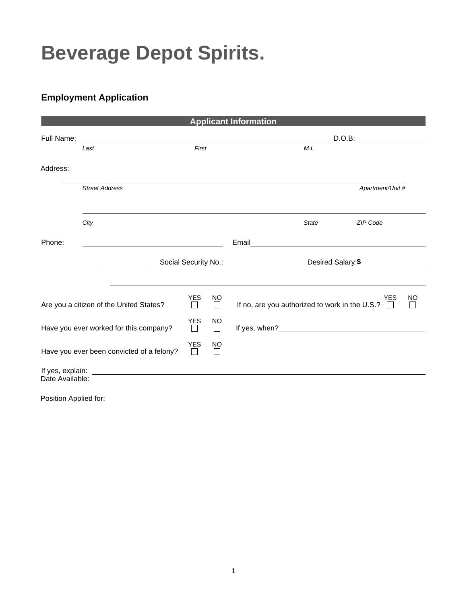## **Beverage Depot Spirits.**

## **Employment Application**

| <b>Applicant Information</b>                                                              |                                         |                 |                |                                                                                                                                |  |  |  |
|-------------------------------------------------------------------------------------------|-----------------------------------------|-----------------|----------------|--------------------------------------------------------------------------------------------------------------------------------|--|--|--|
| Full Name:                                                                                |                                         |                 |                | D.O.B.                                                                                                                         |  |  |  |
|                                                                                           | Last                                    | First           |                | M.L                                                                                                                            |  |  |  |
| Address:                                                                                  |                                         |                 |                |                                                                                                                                |  |  |  |
|                                                                                           | <b>Street Address</b>                   |                 |                | Apartment/Unit #                                                                                                               |  |  |  |
|                                                                                           | City                                    |                 |                | <b>ZIP Code</b><br><b>State</b>                                                                                                |  |  |  |
| Phone:                                                                                    |                                         |                 |                | Email<br><u> 1980 - Jan Stein Bernstein, mars an der Stein Bernstein und der Stein Bernstein und der Stein Bernstein und d</u> |  |  |  |
|                                                                                           |                                         |                 |                | Social Security No.: Social Security No.:<br>Desired Salary: \$                                                                |  |  |  |
|                                                                                           |                                         |                 |                |                                                                                                                                |  |  |  |
|                                                                                           | Are you a citizen of the United States? | <b>YES</b><br>П | NO<br>П        | <b>YES</b><br><b>NO</b><br>If no, are you authorized to work in the U.S.?<br>$\Box$<br>$\Box$                                  |  |  |  |
| Have you ever worked for this company?                                                    |                                         |                 | NO<br>$\Box$   |                                                                                                                                |  |  |  |
| Have you ever been convicted of a felony?                                                 |                                         |                 | <b>NO</b><br>П |                                                                                                                                |  |  |  |
| If yes, explain:<br><u> 1989 - John Stein, Amerikaansk politiker (</u><br>Date Available: |                                         |                 |                |                                                                                                                                |  |  |  |

Position Applied for: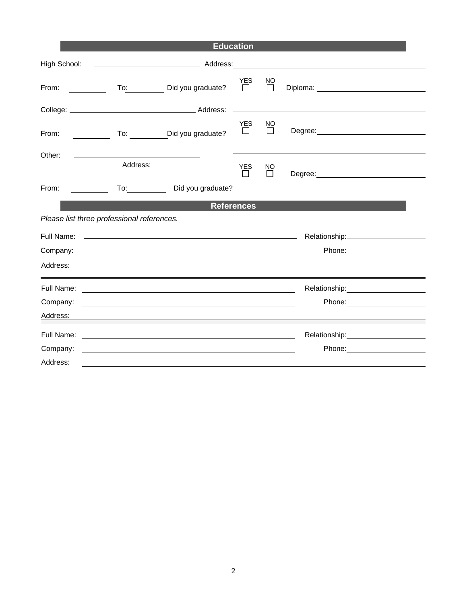|                                        |                                            | <b>Education</b>                                                                                                                                                                                                                     |                       |               |                                       |  |
|----------------------------------------|--------------------------------------------|--------------------------------------------------------------------------------------------------------------------------------------------------------------------------------------------------------------------------------------|-----------------------|---------------|---------------------------------------|--|
| High School:                           |                                            |                                                                                                                                                                                                                                      |                       |               |                                       |  |
| From:<br>and the state of the state of |                                            | To: Did you graduate?                                                                                                                                                                                                                | <b>YES</b><br>$\Box$  | NO.<br>$\Box$ |                                       |  |
|                                        |                                            |                                                                                                                                                                                                                                      |                       |               |                                       |  |
| From:                                  |                                            | To: ___________Did you graduate?                                                                                                                                                                                                     | <b>YES</b><br>$\Box$  | NO<br>П       |                                       |  |
| Other:                                 | Address:                                   |                                                                                                                                                                                                                                      | <b>YES</b><br>$\perp$ | NO            |                                       |  |
| From:<br><u> 1999 - Jan Jan Jawa</u>   |                                            | Did you graduate?                                                                                                                                                                                                                    |                       |               |                                       |  |
| <b>References</b>                      |                                            |                                                                                                                                                                                                                                      |                       |               |                                       |  |
|                                        | Please list three professional references. |                                                                                                                                                                                                                                      |                       |               |                                       |  |
|                                        |                                            |                                                                                                                                                                                                                                      |                       |               |                                       |  |
| Company:                               |                                            |                                                                                                                                                                                                                                      |                       |               | Phone:                                |  |
| Address:                               |                                            |                                                                                                                                                                                                                                      |                       |               |                                       |  |
|                                        |                                            |                                                                                                                                                                                                                                      |                       |               |                                       |  |
| Company:                               |                                            | <u>and the contract of the contract of the contract of the contract of the contract of the contract of the contract of the contract of the contract of the contract of the contract of the contract of the contract of the contr</u> |                       |               | Phone: _______________________        |  |
|                                        |                                            |                                                                                                                                                                                                                                      |                       |               |                                       |  |
|                                        |                                            |                                                                                                                                                                                                                                      |                       |               | Relationship: _______________________ |  |
| Company:                               |                                            | the control of the control of the control of the control of the control of the control of the control of the control of the control of the control of the control of the control of the control of the control of the control        |                       |               |                                       |  |
| Address:                               |                                            |                                                                                                                                                                                                                                      |                       |               |                                       |  |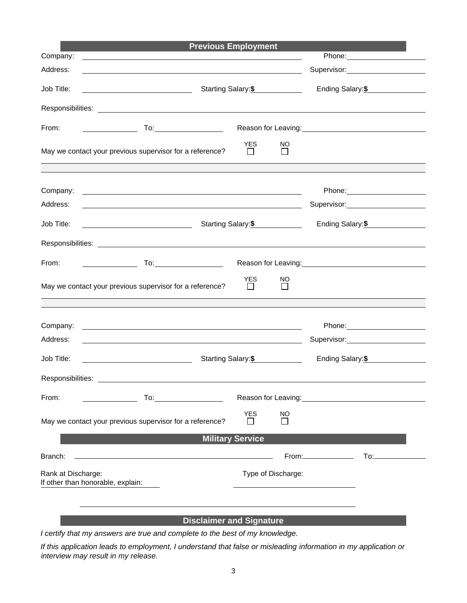|                         | <b>Previous Employment</b>                                                                                            |                            |                     |                                                                                                                                                                                                                                  |                                                                                                                                                                                                                                        |  |
|-------------------------|-----------------------------------------------------------------------------------------------------------------------|----------------------------|---------------------|----------------------------------------------------------------------------------------------------------------------------------------------------------------------------------------------------------------------------------|----------------------------------------------------------------------------------------------------------------------------------------------------------------------------------------------------------------------------------------|--|
| Company:                | <u> 1989 - Johann John Stone, markin sanat masjid asl nashrida ma'lumot olib ma'lumot boʻlgan ma'lumot boʻlgan m</u>  |                            |                     |                                                                                                                                                                                                                                  |                                                                                                                                                                                                                                        |  |
| Address:                |                                                                                                                       |                            |                     |                                                                                                                                                                                                                                  | Supervisor: Supervisor:                                                                                                                                                                                                                |  |
| Job Title:              | Starting Salary: \$                                                                                                   |                            | Ending Salary: \$   |                                                                                                                                                                                                                                  |                                                                                                                                                                                                                                        |  |
|                         |                                                                                                                       |                            |                     |                                                                                                                                                                                                                                  |                                                                                                                                                                                                                                        |  |
| From:                   |                                                                                                                       |                            |                     |                                                                                                                                                                                                                                  |                                                                                                                                                                                                                                        |  |
|                         | May we contact your previous supervisor for a reference?                                                              | <b>YES</b>                 | NO.<br>$\mathsf{L}$ |                                                                                                                                                                                                                                  |                                                                                                                                                                                                                                        |  |
| Company:                | <u> 1980 - Johann Barbara, martin amerikan basar dan berasal dan berasal dalam basar dalam basar dalam basar dala</u> |                            |                     |                                                                                                                                                                                                                                  |                                                                                                                                                                                                                                        |  |
| Address:                | <u> 1989 - Johann Stein, marwolaethau a bhann an t-Amhain ann an t-Amhain an t-Amhain an t-Amhain an t-Amhain an </u> |                            |                     |                                                                                                                                                                                                                                  | Supervisor: Supervisor:                                                                                                                                                                                                                |  |
| Job Title:              |                                                                                                                       |                            |                     | Ending Salary: \$                                                                                                                                                                                                                |                                                                                                                                                                                                                                        |  |
|                         |                                                                                                                       |                            |                     |                                                                                                                                                                                                                                  |                                                                                                                                                                                                                                        |  |
| From:                   |                                                                                                                       |                            |                     |                                                                                                                                                                                                                                  | Reason for Leaving:<br><u>contract and the contract of the set of the set of the set of the set of the set of the set of the set of the set of the set of the set of the set of the set of the set of the set of the set of the se</u> |  |
|                         | May we contact your previous supervisor for a reference?                                                              | <b>YES</b><br>$\mathbf{1}$ | NO.<br>$\perp$      |                                                                                                                                                                                                                                  |                                                                                                                                                                                                                                        |  |
|                         |                                                                                                                       |                            |                     |                                                                                                                                                                                                                                  |                                                                                                                                                                                                                                        |  |
| Company:                | <u> 1989 - Johann Barn, amerikansk politiker (d. 1989)</u>                                                            |                            |                     |                                                                                                                                                                                                                                  |                                                                                                                                                                                                                                        |  |
| Address:                | <u> 1980 - Johann Barn, fransk politik (f. 1980)</u>                                                                  |                            |                     |                                                                                                                                                                                                                                  |                                                                                                                                                                                                                                        |  |
| Job Title:              | <u> 1989 - Johann Barn, mars eta bainar eta idazlea (</u>                                                             |                            | Starting Salary: \$ |                                                                                                                                                                                                                                  | Ending Salary: \$                                                                                                                                                                                                                      |  |
| Responsibilities:       |                                                                                                                       |                            |                     |                                                                                                                                                                                                                                  |                                                                                                                                                                                                                                        |  |
| From:                   |                                                                                                                       |                            |                     | Reason for Leaving:<br>Notice that the set of the set of the set of the set of the set of the set of the set of the set of the set of the set of the set of the set of the set of the set of the set of the set of the set of th |                                                                                                                                                                                                                                        |  |
|                         | May we contact your previous supervisor for a reference?                                                              | <b>YES</b>                 | <b>NO</b>           |                                                                                                                                                                                                                                  |                                                                                                                                                                                                                                        |  |
| <b>Military Service</b> |                                                                                                                       |                            |                     |                                                                                                                                                                                                                                  |                                                                                                                                                                                                                                        |  |
| Branch:                 |                                                                                                                       |                            |                     |                                                                                                                                                                                                                                  |                                                                                                                                                                                                                                        |  |
| Rank at Discharge:      | If other than honorable, explain:                                                                                     |                            | Type of Discharge:  |                                                                                                                                                                                                                                  |                                                                                                                                                                                                                                        |  |
|                         |                                                                                                                       |                            |                     |                                                                                                                                                                                                                                  |                                                                                                                                                                                                                                        |  |

## **Disclaimer and Signature**

*I certify that my answers are true and complete to the best of my knowledge.* 

*If this application leads to employment, I understand that false or misleading information in my application or interview may result in my release.*